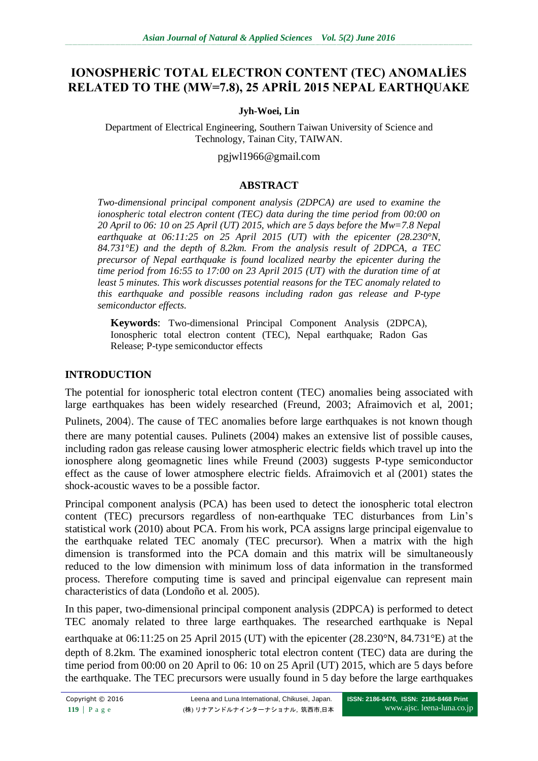# **IONOSPHERİC TOTAL ELECTRON CONTENT (TEC) ANOMALİES RELATED TO THE (MW=7.8), 25 APRİL 2015 NEPAL EARTHQUAKE**

#### **Jyh-Woei, Lin**

Department of Electrical Engineering, Southern Taiwan University of Science and Technology, Tainan City, TAIWAN.

pgjwl1966@gmail.com

#### **ABSTRACT**

*Two-dimensional principal component analysis (2DPCA) are used to examine the ionospheric total electron content (TEC) data during the time period from 00:00 on 20 April to 06: 10 on 25 April (UT) 2015, which are 5 days before the Mw=7.8 Nepal earthquake at 06:11:25 on 25 April 2015 (UT) with the epicenter (28.230°N, 84.731°E) and the depth of 8.2km. From the analysis result of 2DPCA, a TEC precursor of Nepal earthquake is found localized nearby the epicenter during the time period from 16:55 to 17:00 on 23 April 2015 (UT) with the duration time of at least 5 minutes. This work discusses potential reasons for the TEC anomaly related to this earthquake and possible reasons including radon gas release and P-type semiconductor effects.*

**Keywords**: Two-dimensional Principal Component Analysis (2DPCA), Ionospheric total electron content (TEC), Nepal earthquake; Radon Gas Release; P-type semiconductor effects

#### **INTRODUCTION**

The potential for ionospheric total electron content (TEC) anomalies being associated with large earthquakes has been widely researched (Freund, 2003; Afraimovich et al, 2001;

Pulinets, 2004). The cause of TEC anomalies before large earthquakes is not known though there are many potential causes. Pulinets (2004) makes an extensive list of possible causes, including radon gas release causing lower atmospheric electric fields which travel up into the ionosphere along geomagnetic lines while Freund (2003) suggests P-type semiconductor effect as the cause of lower atmosphere electric fields. Afraimovich et al (2001) states the shock-acoustic waves to be a possible factor.

Principal component analysis (PCA) has been used to detect the ionospheric total electron content (TEC) precursors regardless of non-earthquake TEC disturbances from Lin's statistical work (2010) about PCA. From his work, PCA assigns large principal eigenvalue to the earthquake related TEC anomaly (TEC precursor). When a matrix with the high dimension is transformed into the PCA domain and this matrix will be simultaneously reduced to the low dimension with minimum loss of data information in the transformed process. Therefore computing time is saved and principal eigenvalue can represent main characteristics of data (Londoño et al. 2005).

In this paper, two-dimensional principal component analysis (2DPCA) is performed to detect TEC anomaly related to three large earthquakes. The researched earthquake is Nepal earthquake at 06:11:25 on 25 April 2015 (UT) with the epicenter (28.230°N, 84.731°E) at the depth of 8.2km. The examined ionospheric total electron content (TEC) data are during the time period from 00:00 on 20 April to 06: 10 on 25 April (UT) 2015, which are 5 days before the earthquake. The TEC precursors were usually found in 5 day before the large earthquakes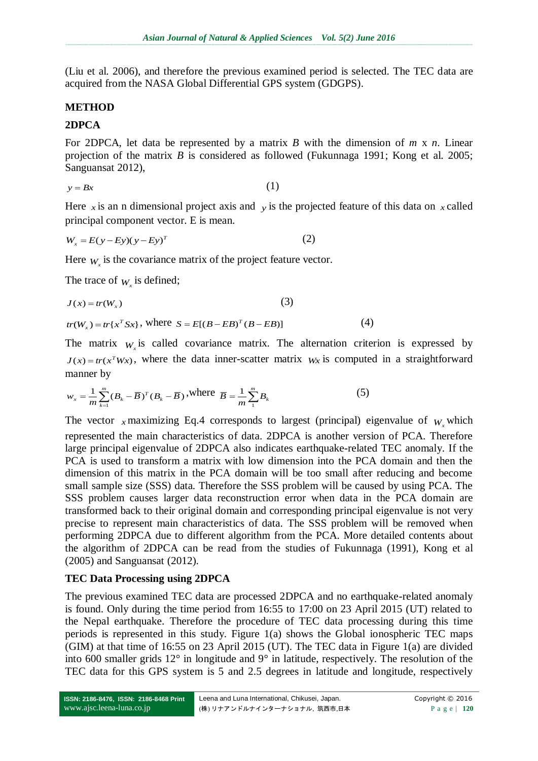(Liu et al. 2006), and therefore the previous examined period is selected. The TEC data are acquired from the NASA Global Differential GPS system (GDGPS).

#### **METHOD**

#### **2DPCA**

For 2DPCA, let data be represented by a matrix *B* with the dimension of *m* x *n*. Linear projection of the matrix *B* is considered as followed (Fukunnaga 1991; Kong et al. 2005; Sanguansat 2012),

$$
y = Bx \tag{1}
$$

Here  $\chi$  is an n dimensional project axis and  $\chi$  is the projected feature of this data on  $\chi$  called principal component vector. E is mean.

$$
W_x = E(y - Ey)(y - Ey)^T
$$
 (2)

Here  $W_x$  is the covariance matrix of the project feature vector.

The trace of  $W_x$  is defined;

$$
J(x) = tr(W_x)
$$
\n
$$
tr(W_x) = tr\{x^T S x\}, \text{ where } S = E[(B - EB)^T (B - EB)]
$$
\n
$$
(4)
$$

The matrix  $W_x$  is called covariance matrix. The alternation criterion is expressed by  $J(x) = tr(x^T W x)$ , where the data inner-scatter matrix  $W x$  is computed in a straightforward manner by

$$
w_x = \frac{1}{m} \sum_{k=1}^{m} (B_k - \overline{B})^T (B_k - \overline{B}), \text{where } \overline{B} = \frac{1}{m} \sum_{1}^{m} B_k
$$
 (5)

The vector *x* maximizing Eq.4 corresponds to largest (principal) eigenvalue of  $W$ <sub>*x*</sub> which represented the main characteristics of data. 2DPCA is another version of PCA. Therefore large principal eigenvalue of 2DPCA also indicates earthquake-related TEC anomaly. If the PCA is used to transform a matrix with low dimension into the PCA domain and then the dimension of this matrix in the PCA domain will be too small after reducing and become small sample size (SSS) data. Therefore the SSS problem will be caused by using PCA. The SSS problem causes larger data reconstruction error when data in the PCA domain are transformed back to their original domain and corresponding principal eigenvalue is not very precise to represent main characteristics of data. The SSS problem will be removed when performing 2DPCA due to different algorithm from the PCA. More detailed contents about the algorithm of 2DPCA can be read from the studies of Fukunnaga (1991), Kong et al (2005) and Sanguansat (2012).

#### **TEC Data Processing using 2DPCA**

The previous examined TEC data are processed 2DPCA and no earthquake-related anomaly is found. Only during the time period from 16:55 to 17:00 on 23 April 2015 (UT) related to the Nepal earthquake. Therefore the procedure of TEC data processing during this time periods is represented in this study. Figure 1(a) shows the Global ionospheric TEC maps (GIM) at that time of 16:55 on 23 April 2015 (UT). The TEC data in Figure 1(a) are divided into 600 smaller grids 12° in longitude and 9° in latitude, respectively. The resolution of the TEC data for this GPS system is 5 and 2.5 degrees in latitude and longitude, respectively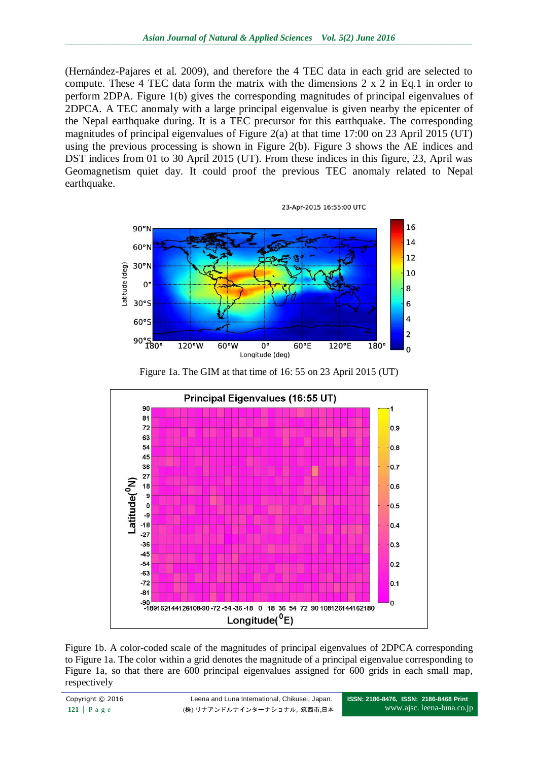(Hernández-Pajares et al. 2009), and therefore the 4 TEC data in each grid are selected to compute. These 4 TEC data form the matrix with the dimensions 2 x 2 in Eq.1 in order to perform 2DPA. Figure 1(b) gives the corresponding magnitudes of principal eigenvalues of 2DPCA. A TEC anomaly with a large principal eigenvalue is given nearby the epicenter of the Nepal earthquake during. It is a TEC precursor for this earthquake. The corresponding magnitudes of principal eigenvalues of Figure 2(a) at that time 17:00 on 23 April 2015 (UT) using the previous processing is shown in Figure 2(b). Figure 3 shows the AE indices and DST indices from 01 to 30 April 2015 (UT). From these indices in this figure, 23, April was Geomagnetism quiet day. It could proof the previous TEC anomaly related to Nepal earthquake.



Figure 1a. The GIM at that time of 16: 55 on 23 April 2015 (UT)



Figure 1b. A color-coded scale of the magnitudes of principal eigenvalues of 2DPCA corresponding to Figure 1a. The color within a grid denotes the magnitude of a principal eigenvalue corresponding to Figure 1a, so that there are 600 principal eigenvalues assigned for 600 grids in each small map, respectively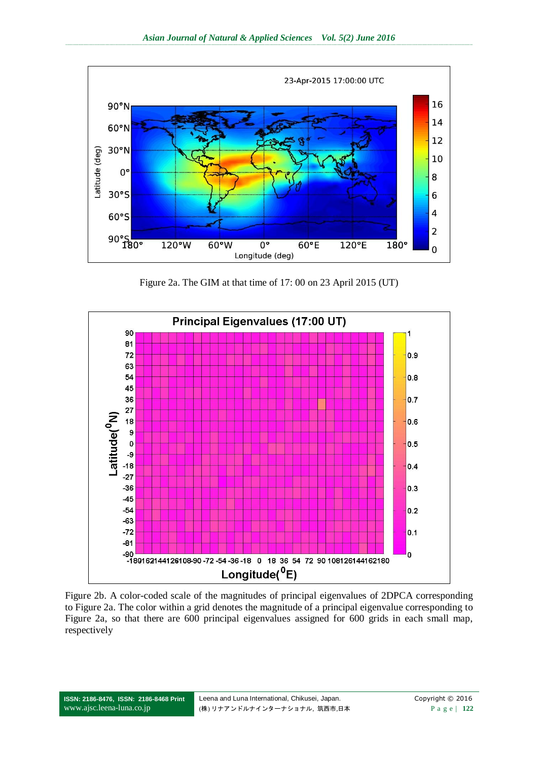

Figure 2a. The GIM at that time of 17: 00 on 23 April 2015 (UT)



Figure 2b. A color-coded scale of the magnitudes of principal eigenvalues of 2DPCA corresponding to Figure 2a. The color within a grid denotes the magnitude of a principal eigenvalue corresponding to Figure 2a, so that there are 600 principal eigenvalues assigned for 600 grids in each small map, respectively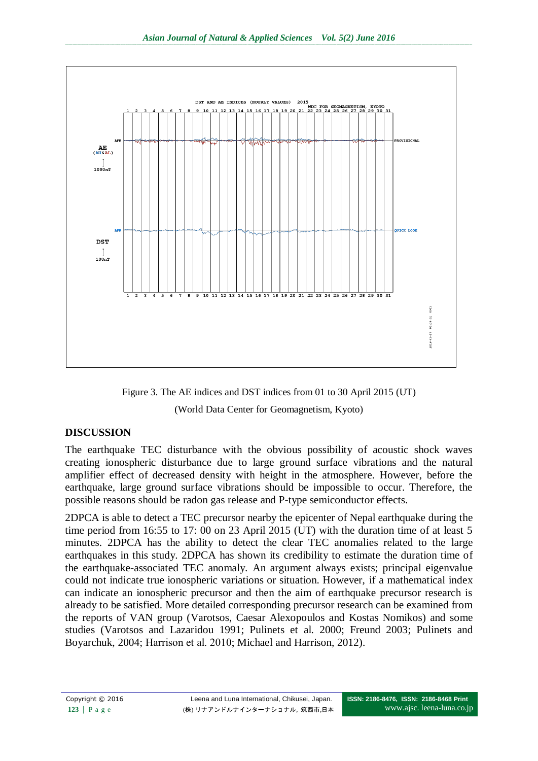

Figure 3. The AE indices and DST indices from 01 to 30 April 2015 (UT) (World Data Center for Geomagnetism, Kyoto)

## **DISCUSSION**

The earthquake TEC disturbance with the obvious possibility of acoustic shock waves creating ionospheric disturbance due to large ground surface vibrations and the natural amplifier effect of decreased density with height in the atmosphere. However, before the earthquake, large ground surface vibrations should be impossible to occur. Therefore, the possible reasons should be radon gas release and P-type semiconductor effects.

2DPCA is able to detect a TEC precursor nearby the epicenter of Nepal earthquake during the time period from 16:55 to 17: 00 on 23 April 2015 (UT) with the duration time of at least 5 minutes. 2DPCA has the ability to detect the clear TEC anomalies related to the large earthquakes in this study. 2DPCA has shown its credibility to estimate the duration time of the earthquake-associated TEC anomaly. An argument always exists; principal eigenvalue could not indicate true ionospheric variations or situation. However, if a mathematical index can indicate an ionospheric precursor and then the aim of earthquake precursor research is already to be satisfied. More detailed corresponding precursor research can be examined from the reports of VAN group [\(Varotsos,](http://en.wikipedia.org/wiki/Panayotis_Varotsos) [Caesar Alexopoulos](http://en.wikipedia.org/w/index.php?title=Caesar_Alexopoulos&action=edit&redlink=1) and [Kostas Nomikos\)](http://en.wikipedia.org/w/index.php?title=Kostas_Nomikos&action=edit&redlink=1) and some studies (Varotsos and Lazaridou 1991; Pulinets et al. 2000; Freund 2003; Pulinets and Boyarchuk, 2004; Harrison et al. 2010; Michael and Harrison, 2012).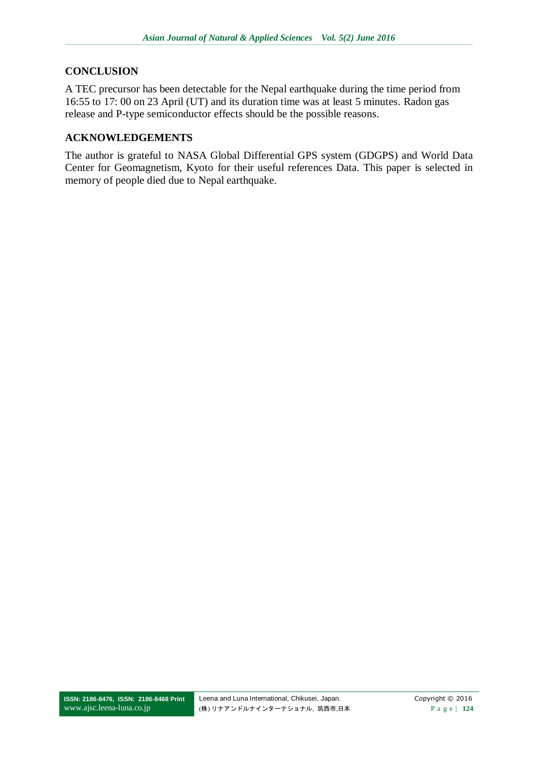#### **CONCLUSION**

A TEC precursor has been detectable for the Nepal earthquake during the time period from 16:55 to 17: 00 on 23 April (UT) and its duration time was at least 5 minutes. Radon gas release and P-type semiconductor effects should be the possible reasons.

#### **ACKNOWLEDGEMENTS**

The author is grateful to NASA Global Differential GPS system (GDGPS) and World Data Center for Geomagnetism, Kyoto for their useful references Data. This paper is selected in memory of people died due to Nepal earthquake.